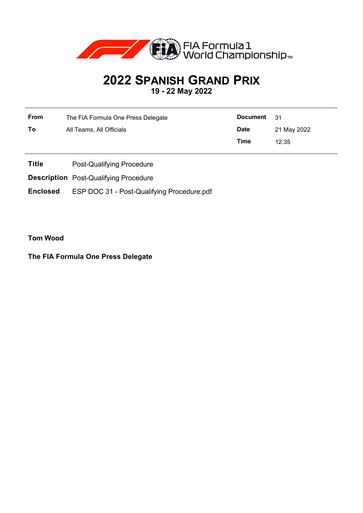

## **2022 SPANISH GRAND PRIX**

**19 - 22 May 2022**

| From | The FIA Formula One Press Delegate | Document 31 |             |
|------|------------------------------------|-------------|-------------|
| To   | All Teams, All Officials           | <b>Date</b> | 21 May 2022 |
|      |                                    | Time        | 12:35       |

- **Title** Post-Qualifying Procedure
- **Description** Post-Qualifying Procedure

**Enclosed** ESP DOC 31 - Post-Qualifying Procedure.pdf

**Tom Wood**

**The FIA Formula One Press Delegate**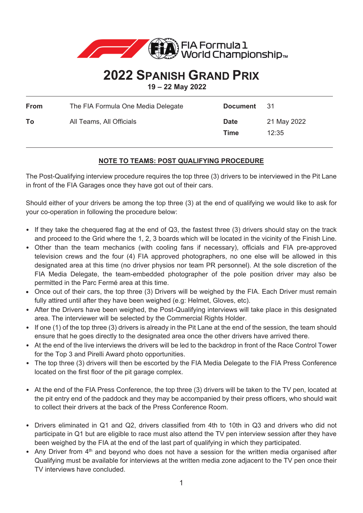

## **2022 SPANISH GRAND PRIX**

**19 – 22 May 2022**

| From | The FIA Formula One Media Delegate | <b>Document</b>     | - 31                 |
|------|------------------------------------|---------------------|----------------------|
| To   | All Teams, All Officials           | <b>Date</b><br>Time | 21 May 2022<br>12:35 |

## **NOTE TO TEAMS: POST QUALIFYING PROCEDURE**

The Post-Qualifying interview procedure requires the top three (3) drivers to be interviewed in the Pit Lane in front of the FIA Garages once they have got out of their cars.

Should either of your drivers be among the top three (3) at the end of qualifying we would like to ask for your co-operation in following the procedure below:

- If they take the chequered flag at the end of Q3, the fastest three (3) drivers should stay on the track and proceed to the Grid where the 1, 2, 3 boards which will be located in the vicinity of the Finish Line.
- Other than the team mechanics (with cooling fans if necessary), officials and FIA pre-approved television crews and the four (4) FIA approved photographers, no one else will be allowed in this designated area at this time (no driver physios nor team PR personnel). At the sole discretion of the FIA Media Delegate, the team-embedded photographer of the pole position driver may also be permitted in the Parc Fermé area at this time.
- Once out of their cars, the top three (3) Drivers will be weighed by the FIA. Each Driver must remain fully attired until after they have been weighed (e.g: Helmet, Gloves, etc).
- After the Drivers have been weighed, the Post-Qualifying interviews will take place in this designated area. The interviewer will be selected by the Commercial Rights Holder.
- If one (1) of the top three (3) drivers is already in the Pit Lane at the end of the session, the team should ensure that he goes directly to the designated area once the other drivers have arrived there.
- At the end of the live interviews the drivers will be led to the backdrop in front of the Race Control Tower for the Top 3 and Pirelli Award photo opportunities.
- The top three (3) drivers will then be escorted by the FIA Media Delegate to the FIA Press Conference located on the first floor of the pit garage complex.
- At the end of the FIA Press Conference, the top three (3) drivers will be taken to the TV pen, located at the pit entry end of the paddock and they may be accompanied by their press officers, who should wait to collect their drivers at the back of the Press Conference Room.
- Drivers eliminated in Q1 and Q2, drivers classified from 4th to 10th in Q3 and drivers who did not participate in Q1 but are eligible to race must also attend the TV pen interview session after they have been weighed by the FIA at the end of the last part of qualifying in which they participated.
- Any Driver from 4<sup>th</sup> and beyond who does not have a session for the written media organised after Qualifying must be available for interviews at the written media zone adjacent to the TV pen once their TV interviews have concluded.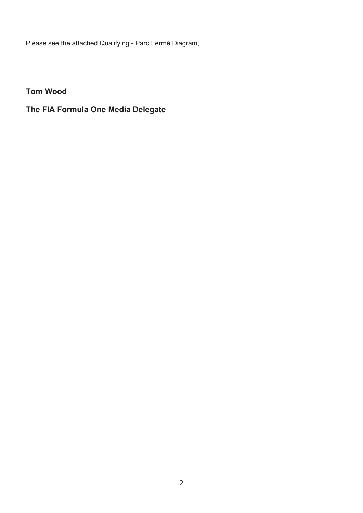Please see the attached Qualifying - Parc Fermé Diagram,

**Tom Wood** 

## **The FIA Formula One Media Delegate**